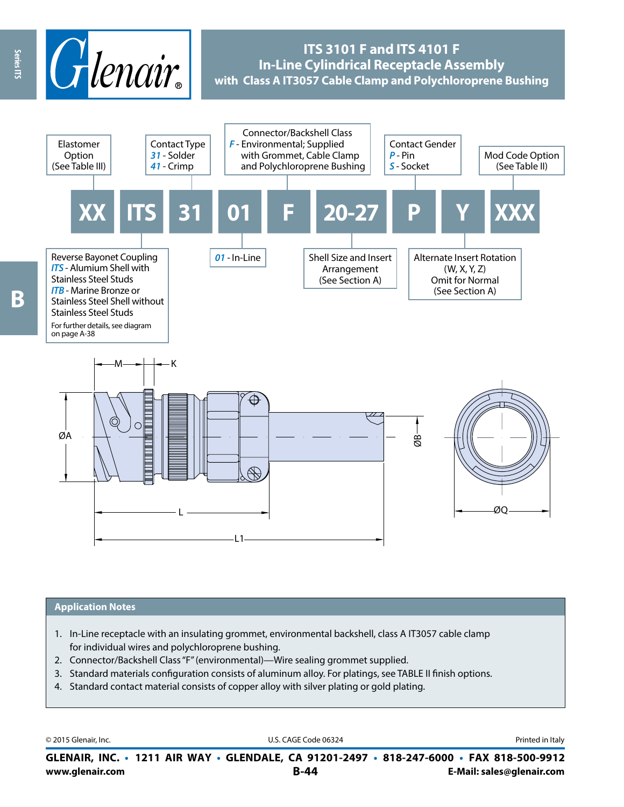

# **ITS 3101 F and ITS 4101 F In-Line Cylindrical Receptacle Assembly with Class A IT3057 Cable Clamp and Polychloroprene Bushing**



### **Application Notes**

- 1. In-Line receptacle with an insulating grommet, environmental backshell, class A IT3057 cable clamp for individual wires and polychloroprene bushing.
- 2. Connector/Backshell Class "F" (environmental)—Wire sealing grommet supplied.
- 3. Standard materials configuration consists of aluminum alloy. For platings, see TABLE II finish options.
- 4. Standard contact material consists of copper alloy with silver plating or gold plating.

© 2015 Glenair, Inc. **Discription Construction Construction Construction Construction Construction Construction Construction Construction Construction Construction Construction Construction Construction Construction Constr** 

**www.glenair.com B-44 E-Mail: sales@glenair.com GLENAIR, INC. • 1211 AIR WAY • GLENDALE, CA 91201-2497 • 818-247-6000 • FAX 818-500-9912**